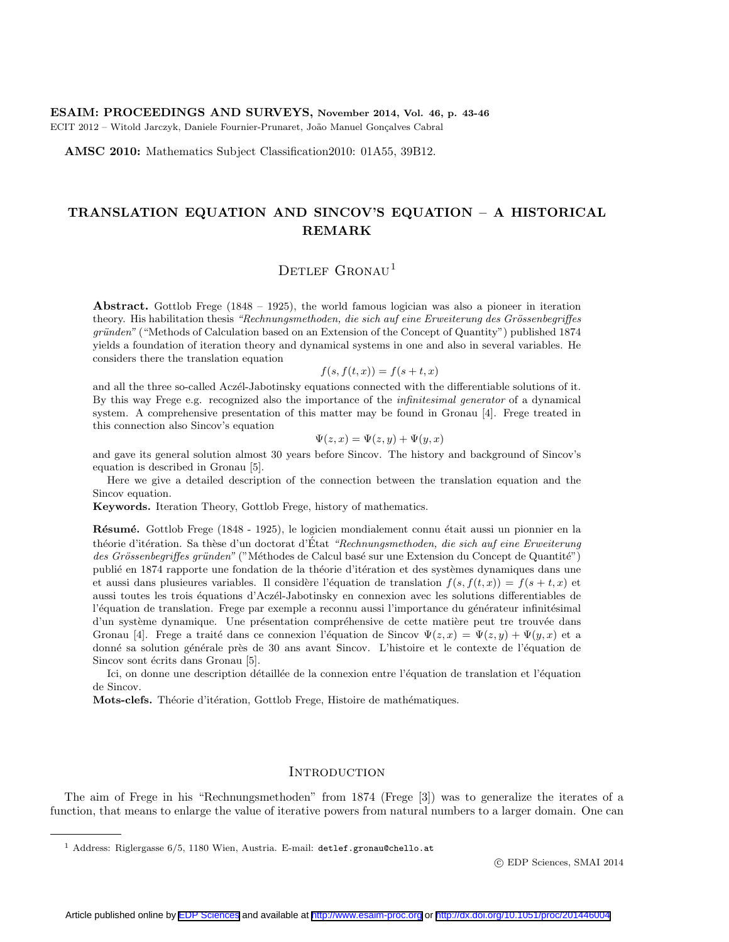#### ESAIM: PROCEEDINGS AND SURVEYS, November 2014, Vol. 46, p. 43-46

ECIT 2012 – Witold Jarczyk, Daniele Fournier-Prunaret, João Manuel Gonçalves Cabral

AMSC 2010: Mathematics Subject Classification2010: 01A55, 39B12.

# TRANSLATION EQUATION AND SINCOV'S EQUATION – A HISTORICAL REMARK

## DETLEF GRONAU<sup>1</sup>

Abstract. Gottlob Frege (1848 – 1925), the world famous logician was also a pioneer in iteration theory. His habilitation thesis "Rechnungsmethoden, die sich auf eine Erweiterung des Grössenbegriffes gründen" ("Methods of Calculation based on an Extension of the Concept of Quantity") published 1874 yields a foundation of iteration theory and dynamical systems in one and also in several variables. He considers there the translation equation

$$
f(s, f(t, x)) = f(s + t, x)
$$

and all the three so-called Aczél-Jabotinsky equations connected with the differentiable solutions of it. By this way Frege e.g. recognized also the importance of the infinitesimal generator of a dynamical system. A comprehensive presentation of this matter may be found in Gronau [4]. Frege treated in this connection also Sincov's equation

$$
\Psi(z, x) = \Psi(z, y) + \Psi(y, x)
$$

and gave its general solution almost 30 years before Sincov. The history and background of Sincov's equation is described in Gronau [5].

Here we give a detailed description of the connection between the translation equation and the Sincov equation.

Keywords. Iteration Theory, Gottlob Frege, history of mathematics.

Résumé. Gottlob Frege (1848 - 1925), le logicien mondialement connu était aussi un pionnier en la théorie d'itération. Sa thèse d'un doctorat d'État "Rechnungsmethoden, die sich auf eine Erweiterung des Grössenbegriffes gründen" ("Méthodes de Calcul basé sur une Extension du Concept de Quantité") publié en 1874 rapporte une fondation de la théorie d'itération et des systèmes dynamiques dans une et aussi dans plusieures variables. Il considère l'équation de translation  $f(s, f(t, x)) = f(s + t, x)$  et aussi toutes les trois équations d'Aczél-Jabotinsky en connexion avec les solutions differentiables de l'équation de translation. Frege par exemple a reconnu aussi l'importance du générateur infinitésimal d'un système dynamique. Une présentation compréhensive de cette matière peut tre trouvée dans Gronau [4]. Frege a traité dans ce connexion l'équation de Sincov  $\Psi(z, x) = \Psi(z, y) + \Psi(y, x)$  et a donné sa solution générale près de 30 ans avant Sincov. L'histoire et le contexte de l'équation de Sincov sont écrits dans Gronau [5].

Ici, on donne une description détaillée de la connexion entre l'équation de translation et l'équation de Sincov.

Mots-clefs. Théorie d'itération, Gottlob Frege, Histoire de mathématiques.

## **INTRODUCTION**

The aim of Frege in his "Rechnungsmethoden" from 1874 (Frege [3]) was to generalize the iterates of a function, that means to enlarge the value of iterative powers from natural numbers to a larger domain. One can

c EDP Sciences, SMAI 2014

<sup>&</sup>lt;sup>1</sup> Address: Riglergasse  $6/5$ , 1180 Wien, Austria. E-mail: detlef.gronau@chello.at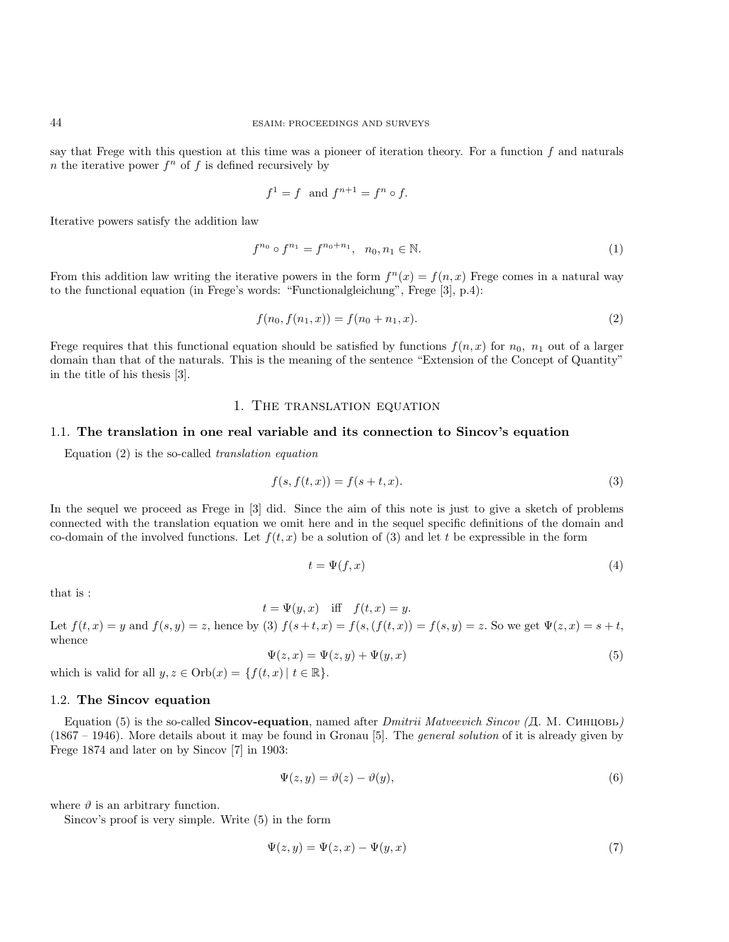say that Frege with this question at this time was a pioneer of iteration theory. For a function f and naturals *n* the iterative power  $f^n$  of f is defined recursively by

$$
f^1 = f \text{ and } f^{n+1} = f^n \circ f.
$$

Iterative powers satisfy the addition law

$$
f^{n_0} \circ f^{n_1} = f^{n_0 + n_1}, \quad n_0, n_1 \in \mathbb{N}.\tag{1}
$$

From this addition law writing the iterative powers in the form  $f^{(n)}(x) = f(n, x)$  Frege comes in a natural way to the functional equation (in Frege's words: "Functionalgleichung", Frege [3], p.4):

$$
f(n_0, f(n_1, x)) = f(n_0 + n_1, x). \tag{2}
$$

Frege requires that this functional equation should be satisfied by functions  $f(n, x)$  for  $n_0$ ,  $n_1$  out of a larger domain than that of the naturals. This is the meaning of the sentence "Extension of the Concept of Quantity" in the title of his thesis [3].

### 1. The translation equation

#### 1.1. The translation in one real variable and its connection to Sincov's equation

Equation (2) is the so-called translation equation

$$
f(s, f(t, x)) = f(s + t, x). \tag{3}
$$

In the sequel we proceed as Frege in [3] did. Since the aim of this note is just to give a sketch of problems connected with the translation equation we omit here and in the sequel specific definitions of the domain and co-domain of the involved functions. Let  $f(t, x)$  be a solution of (3) and let t be expressible in the form

$$
t = \Psi(f, x) \tag{4}
$$

that is :

$$
t = \Psi(y, x) \quad \text{iff} \quad f(t, x) = y.
$$

Let  $f(t, x) = y$  and  $f(s, y) = z$ , hence by (3)  $f(s + t, x) = f(s, (f(t, x)) = f(s, y) = z$ . So we get  $\Psi(z, x) = s + t$ , whence

$$
\Psi(z,x) = \Psi(z,y) + \Psi(y,x) \tag{5}
$$

which is valid for all  $y, z \in \text{Orb}(x) = \{f(t, x) | t \in \mathbb{R}\}.$ 

#### 1.2. The Sincov equation

Equation (5) is the so-called **Sincov-equation**, named after *Dmitrii Matveevich Sincov* ( $\pi$ ). M. CUHIOBL) (1867 – 1946). More details about it may be found in Gronau [5]. The general solution of it is already given by Frege 1874 and later on by Sincov [7] in 1903:

$$
\Psi(z, y) = \vartheta(z) - \vartheta(y),\tag{6}
$$

where  $\vartheta$  is an arbitrary function.

Sincov's proof is very simple. Write (5) in the form

$$
\Psi(z, y) = \Psi(z, x) - \Psi(y, x) \tag{7}
$$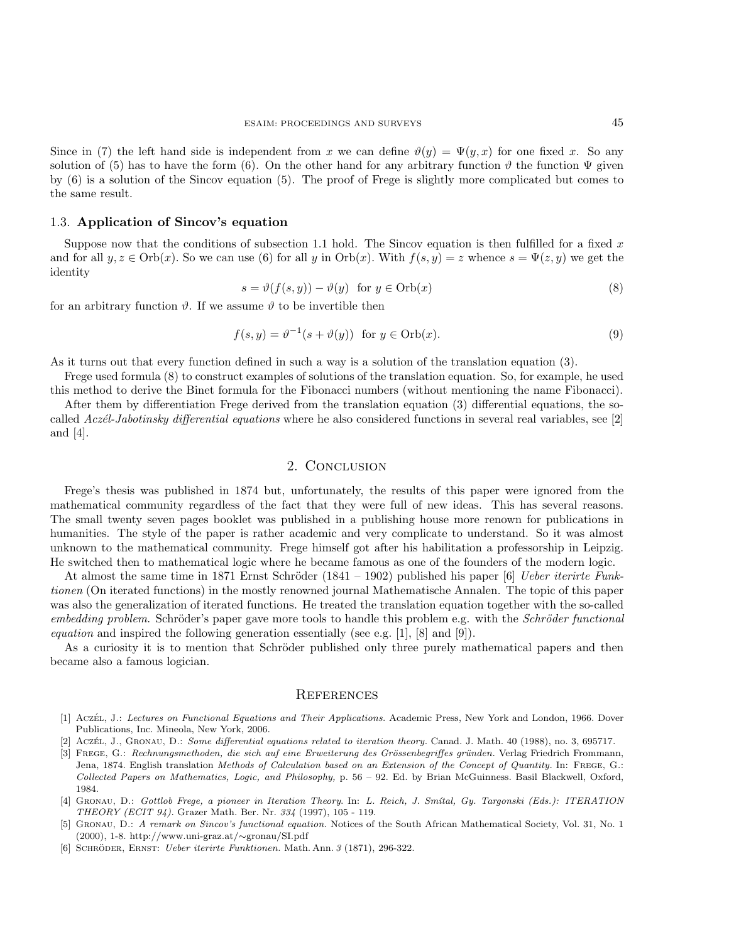Since in (7) the left hand side is independent from x we can define  $\vartheta(y) = \Psi(y, x)$  for one fixed x. So any solution of (5) has to have the form (6). On the other hand for any arbitrary function  $\vartheta$  the function  $\Psi$  given by (6) is a solution of the Sincov equation (5). The proof of Frege is slightly more complicated but comes to the same result.

## 1.3. Application of Sincov's equation

Suppose now that the conditions of subsection 1.1 hold. The Sincov equation is then fulfilled for a fixed  $x$ and for all  $y, z \in \text{Orb}(x)$ . So we can use (6) for all y in  $\text{Orb}(x)$ . With  $f(s, y) = z$  whence  $s = \Psi(z, y)$  we get the identity

$$
s = \vartheta(f(s, y)) - \vartheta(y) \quad \text{for } y \in \text{Orb}(x)
$$
\n
$$
(8)
$$

for an arbitrary function  $\vartheta$ . If we assume  $\vartheta$  to be invertible then

$$
f(s, y) = \vartheta^{-1}(s + \vartheta(y)) \quad \text{for } y \in \text{Orb}(x). \tag{9}
$$

As it turns out that every function defined in such a way is a solution of the translation equation (3).

Frege used formula (8) to construct examples of solutions of the translation equation. So, for example, he used this method to derive the Binet formula for the Fibonacci numbers (without mentioning the name Fibonacci).

After them by differentiation Frege derived from the translation equation (3) differential equations, the socalled Aczél-Jabotinsky differential equations where he also considered functions in several real variables, see [2] and [4].

## 2. Conclusion

Frege's thesis was published in 1874 but, unfortunately, the results of this paper were ignored from the mathematical community regardless of the fact that they were full of new ideas. This has several reasons. The small twenty seven pages booklet was published in a publishing house more renown for publications in humanities. The style of the paper is rather academic and very complicate to understand. So it was almost unknown to the mathematical community. Frege himself got after his habilitation a professorship in Leipzig. He switched then to mathematical logic where he became famous as one of the founders of the modern logic.

At almost the same time in 1871 Ernst Schröder (1841 – 1902) published his paper [6] Ueber iterirte Funktionen (On iterated functions) in the mostly renowned journal Mathematische Annalen. The topic of this paper was also the generalization of iterated functions. He treated the translation equation together with the so-called  $embedding problem. Schröder's paper gave more tools to handle this problem e.g. with the Schröder functional$ *equation* and inspired the following generation essentially (see e.g.  $[1]$ ,  $[8]$  and  $[9]$ ).

As a curiosity it is to mention that Schröder published only three purely mathematical papers and then became also a famous logician.

#### **REFERENCES**

- [1] Aczét, J.: Lectures on Functional Equations and Their Applications. Academic Press, New York and London, 1966. Dover Publications, Inc. Mineola, New York, 2006.
- Aczét, J., Gronau, D.: Some differential equations related to iteration theory. Canad. J. Math. 40 (1988), no. 3, 695717.
- [3] FREGE, G.: Rechnungsmethoden, die sich auf eine Erweiterung des Grössenbegriffes gründen. Verlag Friedrich Frommann, Jena, 1874. English translation Methods of Calculation based on an Extension of the Concept of Quantity. In: FREGE, G.: Collected Papers on Mathematics, Logic, and Philosophy, p. 56 – 92. Ed. by Brian McGuinness. Basil Blackwell, Oxford, 1984.
- [4] GRONAU, D.: Gottlob Frege, a pioneer in Iteration Theory. In: L. Reich, J. Smítal, Gy. Targonski (Eds.): ITERATION THEORY (ECIT 94). Grazer Math. Ber. Nr. 334 (1997), 105 - 119.
- [5] Gronau, D.: A remark on Sincov's functional equation. Notices of the South African Mathematical Society, Vol. 31, No. 1 (2000), 1-8. http://www.uni-graz.at/∼gronau/SI.pdf
- [6] Schroder, Ernst: ¨ Ueber iterirte Funktionen. Math. Ann. 3 (1871), 296-322.